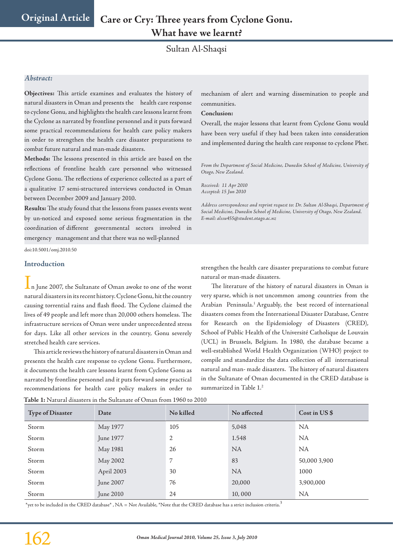Sultan Al-Shaqsi

### *Abstract:*

**Objectives:** This article examines and evaluates the history of natural disasters in Oman and presents the health care response to cyclone Gonu, and highlights the health care lessons learnt from the Cyclone as narrated by frontline personnel and it puts forward some practical recommendations for health care policy makers in order to strengthen the health care disaster preparations to combat future natural and man-made disasters.

**Methods:** The lessons presented in this article are based on the reflections of frontline health care personnel who witnessed Cyclone Gonu. The reflections of experience collected as a part of a qualitative 17 semi-structured interviews conducted in Oman between December 2009 and January 2010.

**Results:** The study found that the lessons from passes events went by un-noticed and exposed some serious fragmentation in the coordination of different governmental sectors involved in emergency management and that there was no well-planned

doi:10.5001/omj.2010.50

### **Introduction**

 $\mathbf 1$ n June 2007, the Sultanate of Oman awoke to one of the worst natural disasters in its recent history. Cyclone Gonu, hit the country causing torrential rains and flash flood. The Cyclone claimed the lives of 49 people and left more than 20,000 others homeless. The infrastructure services of Oman were under unprecedented stress for days. Like all other services in the country, Gonu severely stretched health care services.

This article reviews the history of natural disasters in Oman and presents the health care response to cyclone Gonu. Furthermore, it documents the health care lessons learnt from Cyclone Gonu as narrated by frontline personnel and it puts forward some practical recommendations for health care policy makers in order to

**Table 1:** Natural disasters in the Sultanate of Oman from 1960 to 2010

mechanism of alert and warning dissemination to people and communities.

#### **Conclusion:**

Overall, the major lessons that learnt from Cyclone Gonu would have been very useful if they had been taken into consideration and implemented during the health care response to cyclone Phet.

*From the Department of Social Medicine, Dunedin School of Medicine, University of Otago, New Zealand.*

*Received: 11 Apr 2010 Accepted: 15 Jun 2010*

*Address correspondence and reprint request to: Dr. Sultan Al-Shaqsi, Department of Social Medicine, Dunedin School of Medicine, University of Otago, New Zealand. E-mail: alssu455@student.otago.ac.nz*

strengthen the health care disaster preparations to combat future natural or man-made disasters.

 The literature of the history of natural disasters in Oman is very sparse, which is not uncommon among countries from the Arabian Peninsula.<sup>1</sup> Arguably, the best record of international disasters comes from the International Disaster Database, Centre for Research on the Epidemiology of Disasters (CRED), School of Public Health of the Université Catholique de Louvain (UCL) in Brussels, Belgium. In 1980, the database became a well-established World Health Organization (WHO) project to compile and standardize the data collection of all international natural and man- made disasters. The history of natural disasters in the Sultanate of Oman documented in the CRED database is summarized in Table 1.2

| <b>Type of Disaster</b> | Date       | No killed | No affected | Cost in $US$ \$ |
|-------------------------|------------|-----------|-------------|-----------------|
| Storm                   | May 1977   | 105       | 5,048       | <b>NA</b>       |
| Storm                   | June 1977  | 2         | 1.548       | <b>NA</b>       |
| Storm                   | May 1981   | 26        | <b>NA</b>   | <b>NA</b>       |
| Storm                   | May 2002   | 7         | 83          | 50,000 3,900    |
| Storm                   | April 2003 | 30        | <b>NA</b>   | 1000            |
| Storm                   | June 2007  | 76        | 20,000      | 3,900,000       |
| Storm                   | June 2010  | 24        | 10,000      | <b>NA</b>       |

\*yet to be included in the CRED database\* , NA = Not Available, \*Note that the CRED database has a strict inclusion criteria.<sup>3</sup>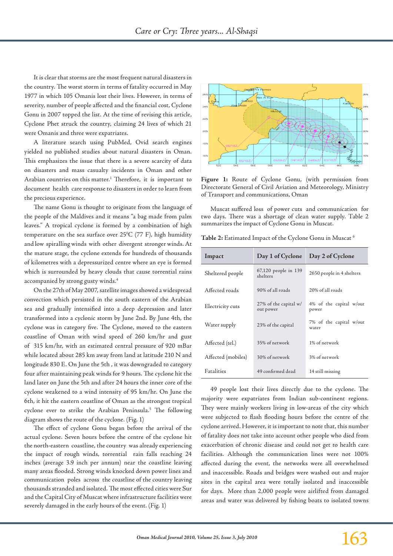It is clear that storms are the most frequent natural disasters in the country. The worst storm in terms of fatality occurred in May 1977 in which 105 Omanis lost their lives. However, in terms of severity, number of people affected and the financial cost, Cyclone Gonu in 2007 topped the list. At the time of revising this article, Cyclone Phet struck the country, claiming 24 lives of which 21 were Omanis and three were expatriates.

A literature search using PubMed, Ovid search engines yielded no published studies about natural disasters in Oman. This emphasizes the issue that there is a severe scarcity of data on disasters and mass casualty incidents in Oman and other Arabian countries on this matter.<sup>1</sup> Therefore, it is important to document health care response to disasters in order to learn from the precious experience.

The name Gonu is thought to originate from the language of the people of the Maldives and it means "a bag made from palm leaves." A tropical cyclone is formed by a combination of high temperature on the sea surface over  $25^{\circ}$ C (77 F), high humidity and low spiralling winds with other divergent stronger winds. At the mature stage, the cyclone extends for hundreds of thousands of kilometres with a depressurized centre where an eye is formed which is surrounded by heavy clouds that cause torrential rains accompanied by strong gusty winds.4

On the 27th of May 2007, satellite images showed a widespread convection which persisted in the south eastern of the Arabian sea and gradually intensified into a deep depression and later transformed into a cyclonic storm by June 2nd. By June 4th, the cyclone was in category five. The Cyclone, moved to the eastern coastline of Oman with wind speed of 260 km/hr and gust of 315 km/hr, with an estimated central pressure of 920 mBar while located about 285 km away from land at latitude 210 N and longitude 830 E. On June the 5th , it was downgraded to category four after maintaining peak winds for 9 hours. The cyclone hit the land later on June the 5th and after 24 hours the inner core of the cyclone weakened to a wind intensity of 95 km/hr. On June the 6th, it hit the eastern coastline of Oman as the strongest tropical cyclone ever to strike the Arabian Peninsula.<sup>5</sup> The following diagram shows the route of the cyclone. (Fig. 1)

The effect of cyclone Gonu began before the arrival of the actual cyclone. Seven hours before the centre of the cyclone hit the north-eastern coastline, the country was already experiencing the impact of rough winds, torrential rain falls reaching 24 inches (average 3.9 inch per annum) near the coastline leaving many areas flooded. Strong winds knocked down power lines and communication poles across the coastline of the country leaving thousands stranded and isolated. The most effected cities were Sur and the Capital City of Muscat where infrastructure facilities were severely damaged in the early hours of the event. (Fig. 1)



**Figure 1:** Route of Cyclone Gonu, (with permission from Directorate General of Civil Aviation and Meteorology, Ministry of Transport and communications, Oman

Muscat suffered loss of power cuts and communication for two days. There was a shortage of clean water supply. Table 2 summarizes the impact of Cyclone Gonu in Muscat.

**Table 2:** Estimated Impact of the Cyclone Gonu in Muscat 6

| Impact             | Day 1 of Cyclone                   | Day 2 of Cyclone                 |  |
|--------------------|------------------------------------|----------------------------------|--|
| Sheltered people   | 67,120 people in 139<br>shelters   | 2650 people in 4 shelters        |  |
| Affected roads     | 90% of all roads                   | 20% of all roads                 |  |
| Electricity cuts   | 27% of the capital w/<br>out power | 4% of the capital w/out<br>power |  |
| Water supply       | 23% of the capital                 | 7% of the capital w/out<br>water |  |
| Affected (tel.)    | 35% of network                     | 1% of network                    |  |
| Affected (mobiles) | 30% of network                     | 3% of network                    |  |
| <b>Faralities</b>  | 49 confirmed dead                  | 14 still missing                 |  |

49 people lost their lives directly due to the cyclone. The majority were expatriates from Indian sub-continent regions. They were mainly workers living in low-areas of the city which were subjected to flash flooding hours before the centre of the cyclone arrived. However, it is important to note that, this number of fatality does not take into account other people who died from exacerbation of chronic disease and could not get to health care facilities. Although the communication lines were not 100% affected during the event, the networks were all overwhelmed and inaccessible. Roads and bridges were washed out and major sites in the capital area were totally isolated and inaccessible for days. More than 2,000 people were airlifted from damaged areas and water was delivered by fishing boats to isolated towns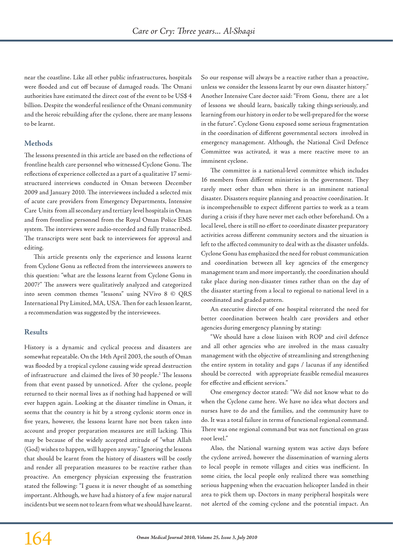near the coastline. Like all other public infrastructures, hospitals were flooded and cut off because of damaged roads. The Omani authorities have estimated the direct cost of the event to be US\$ 4 billion. Despite the wonderful resilience of the Omani community and the heroic rebuilding after the cyclone, there are many lessons to be learnt.

# **Methods**

The lessons presented in this article are based on the reflections of frontline health care personnel who witnessed Cyclone Gonu. The reflections of experience collected as a part of a qualitative 17 semistructured interviews conducted in Oman between December 2009 and January 2010. The interviewees included a selected mix of acute care providers from Emergency Departments, Intensive Care Units from all secondary and tertiary level hospitals in Oman and from frontline personnel from the Royal Oman Police EMS system. The interviews were audio-recorded and fully transcribed. The transcripts were sent back to interviewees for approval and editing.

This article presents only the experience and lessons learnt from Cyclone Gonu as reflected from the interviewees answers to this question: "what are the lessons learnt from Cyclone Gonu in 2007?" The answers were qualitatively analyzed and categorized into seven common themes "lessons" using NVivo 8 © QRS International Pty Limited, MA, USA. Then for each lesson learnt, a recommendation was suggested by the interviewees.

## **Results**

History is a dynamic and cyclical process and disasters are somewhat repeatable. On the 14th April 2003, the south of Oman was flooded by a tropical cyclone causing wide spread destruction of infrastructure and claimed the lives of 30 people.2 The lessons from that event passed by unnoticed. After the cyclone, people returned to their normal lives as if nothing had happened or will ever happen again. Looking at the disaster timeline in Oman, it seems that the country is hit by a strong cyclonic storm once in five years, however, the lessons learnt have not been taken into account and proper preparation measures are still lacking. This may be because of the widely accepted attitude of "what Allah (God) wishes to happen, will happen anyway." Ignoring the lessons that should be learnt from the history of disasters will be costly and render all preparation measures to be reactive rather than proactive. An emergency physician expressing the frustration stated the following: "I guess it is never thought of as something important. Although, we have had a history of a few major natural incidents but we seem not to learn from what we should have learnt.

So our response will always be a reactive rather than a proactive, unless we consider the lessons learnt by our own disaster history." Another Intensive Care doctor said: "From Gonu, there are a lot of lessons we should learn, basically taking things seriously, and learning from our history in order to be well-prepared for the worse in the future". Cyclone Gonu exposed some serious fragmentation in the coordination of different governmental sectors involved in emergency management. Although, the National Civil Defence Committee was activated, it was a mere reactive move to an imminent cyclone.

The committee is a national-level committee which includes 16 members from different ministries in the government. They rarely meet other than when there is an imminent national disaster. Disasters require planning and proactive coordination. It is incomprehensible to expect different parties to work as a team during a crisis if they have never met each other beforehand. On a local level, there is still no effort to coordinate disaster preparatory activities across different community sectors and the situation is left to the affected community to deal with as the disaster unfolds. Cyclone Gonu has emphasized the need for robust communication and coordination between all key agencies of the emergency management team and more importantly, the coordination should take place during non-disaster times rather than on the day of the disaster starting from a local to regional to national level in a coordinated and graded pattern.

An executive director of one hospital reiterated the need for better coordination between health care providers and other agencies during emergency planning by stating:

"We should have a close liaison with ROP and civil defence and all other agencies who are involved in the mass casualty management with the objective of streamlining and strengthening the entire system in totality and gaps / lacunas if any identified should be corrected with appropriate feasible remedial measures for effective and efficient services."

One emergency doctor stated: "We did not know what to do when the Cyclone came here. We have no idea what doctors and nurses have to do and the families, and the community have to do. It was a total failure in terms of functional regional command. There was one regional command but was not functional on grass root level."

Also, the National warning system was active days before the cyclone arrived, however the dissemination of warning alerts to local people in remote villages and cities was inefficient. In some cities, the local people only realized there was something serious happening when the evacuation helicopter landed in their area to pick them up. Doctors in many peripheral hospitals were not alerted of the coming cyclone and the potential impact. An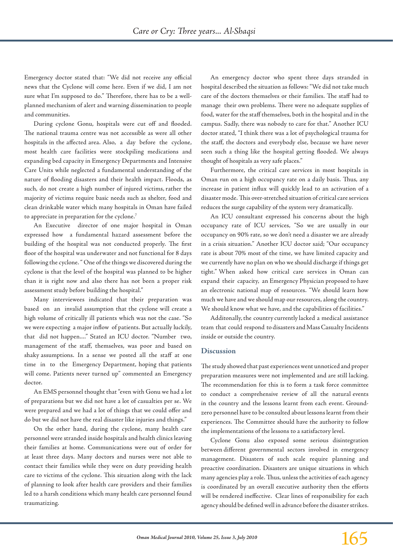Emergency doctor stated that: "We did not receive any official news that the Cyclone will come here. Even if we did, I am not sure what I'm supposed to do." Therefore, there has to be a wellplanned mechanism of alert and warning dissemination to people and communities.

During cyclone Gonu, hospitals were cut off and flooded. The national trauma centre was not accessible as were all other hospitals in the affected area. Also, a day before the cyclone, most health care facilities were stockpiling medications and expanding bed capacity in Emergency Departments and Intensive Care Units while neglected a fundamental understanding of the nature of flooding disasters and their health impact. Floods, as such, do not create a high number of injured victims, rather the majority of victims require basic needs such as shelter, food and clean drinkable water which many hospitals in Oman have failed to appreciate in preparation for the cyclone.7

An Executive director of one major hospital in Oman expressed how a fundamental hazard assessment before the building of the hospital was not conducted properly. The first floor of the hospital was underwater and not functional for 8 days following the cyclone. " One of the things we discovered during the cyclone is that the level of the hospital was planned to be higher than it is right now and also there has not been a proper risk assessment study before building the hospital."

Many interviewees indicated that their preparation was based on an invalid assumption that the cyclone will create a high volume of critically ill patients which was not the case. "So we were expecting a major inflow of patients. But actually luckily, that did not happen...." Stated an ICU doctor. "Number two, management of the staff, themselves, was poor and based on shaky assumptions. In a sense we posted all the staff at one time in to the Emergency Department, hoping that patients will come. Patients never turned up" commented an Emergency doctor.

An EMS personnel thought that "even with Gonu we had a lot of preparations but we did not have a lot of casualties per se. We were prepared and we had a lot of things that we could offer and do but we did not have the real disaster like injuries and things."

On the other hand, during the cyclone, many health care personnel were stranded inside hospitals and health clinics leaving their families at home. Communications were out of order for at least three days. Many doctors and nurses were not able to contact their families while they were on duty providing health care to victims of the cyclone. This situation along with the lack of planning to look after health care providers and their families led to a harsh conditions which many health care personnel found traumatizing.

An emergency doctor who spent three days stranded in hospital described the situation as follows: "We did not take much care of the doctors themselves or their families. The staff had to manage their own problems. There were no adequate supplies of food, water for the staff themselves, both in the hospital and in the campus. Sadly, there was nobody to care for that." Another ICU doctor stated, "I think there was a lot of psychological trauma for the staff, the doctors and everybody else, because we have never seen such a thing like the hospital getting flooded. We always thought of hospitals as very safe places."

Furthermore, the critical care services in most hospitals in Oman run on a high occupancy rate on a daily basis. Thus, any increase in patient influx will quickly lead to an activation of a disaster mode. This over-stretched situation of critical care services reduces the surge capability of the system very dramatically.

An ICU consultant expressed his concerns about the high occupancy rate of ICU services, "So we are usually in our occupancy on 90% rate, so we don't need a disaster we are already in a crisis situation." Another ICU doctor said; "Our occupancy rate is about 70% most of the time, we have limited capacity and we currently have no plan on who we should discharge if things get tight." When asked how critical care services in Oman can expand their capacity, an Emergency Physician proposed to have an electronic national map of resources. "We should learn how much we have and we should map our resources, along the country. We should know what we have, and the capabilities of facilities."

Additonally, the country currently lacked a medical assistance team that could respond to disasters and Mass Casualty Incidents inside or outside the country.

### **Discussion**

The study showed that past experiences went unnoticed and proper preparation measures were not implemented and are still lacking. The recommendation for this is to form a task force committee to conduct a comprehensive review of all the natural events in the country and the lessons learnt from each event. Groundzero personnel have to be consulted about lessons learnt from their experiences. The Committee should have the authority to follow the implementations of the lessons to a satisfactory level.

Cyclone Gonu also exposed some serious disintegration between different governmental sectors involved in emergency management. Disasters of such scale require planning and proactive coordination. Disasters are unique situations in which many agencies play a role. Thus, unless the activities of each agency is coordinated by an overall executive authority then the efforts will be rendered ineffective. Clear lines of responsibility for each agency should be defined well in advance before the disaster strikes.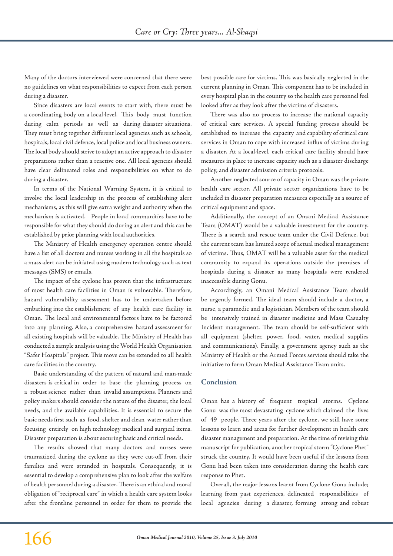Many of the doctors interviewed were concerned that there were no guidelines on what responsibilities to expect from each person during a disaster.

Since disasters are local events to start with, there must be a coordinating body on a local-level. This body must function during calm periods as well as during disaster situations. They must bring together different local agencies such as schools, hospitals, local civil defence, local police and local business owners. The local body should strive to adopt an active approach to disaster preparations rather than a reactive one. All local agencies should have clear delineated roles and responsibilities on what to do during a disaster.

In terms of the National Warning System, it is critical to involve the local leadership in the process of establishing alert mechanisms, as this will give extra weight and authority when the mechanism is activated. People in local communities have to be responsible for what they should do during an alert and this can be established by prior planning with local authorities.

The Ministry of Health emergency operation centre should have a list of all doctors and nurses working in all the hospitals so a mass alert can be initiated using modern technology such as text messages (SMS) or emails.

The impact of the cyclone has proven that the infrastructure of most health care facilities in Oman is vulnerable. Therefore, hazard vulnerability assessment has to be undertaken before embarking into the establishment of any health care facility in Oman. The local and environmental factors have to be factored into any planning. Also, a comprehensive hazard assessment for all existing hospitals will be valuable. The Ministry of Health has conducted a sample analysis using the World Health Organisation "Safer Hospitals" project. This move can be extended to all health care facilities in the country.

Basic understanding of the pattern of natural and man-made disasters is critical in order to base the planning process on a robust science rather than invalid assumptions. Planners and policy makers should consider the nature of the disaster, the local needs, and the available capabilities. It is essential to secure the basic needs first such as food, shelter and clean water rather than focusing entirely on high technology medical and surgical items. Disaster preparation is about securing basic and critical needs.

The results showed that many doctors and nurses were traumatized during the cyclone as they were cut-off from their families and were stranded in hospitals. Consequently, it is essential to develop a comprehensive plan to look after the welfare of health personnel during a disaster. There is an ethical and moral obligation of "reciprocal care" in which a health care system looks after the frontline personnel in order for them to provide the best possible care for victims. This was basically neglected in the current planning in Oman. This component has to be included in every hospital plan in the country so the health care personnel feel looked after as they look after the victims of disasters.

There was also no process to increase the national capacity of critical care services. A special funding process should be established to increase the capacity and capability of critical care services in Oman to cope with increased influx of victims during a disaster. At a local-level, each critical care facility should have measures in place to increase capacity such as a disaster discharge policy, and disaster admission criteria protocols.

Another neglected source of capacity in Oman was the private health care sector. All private sector organizations have to be included in disaster preparation measures especially as a source of critical equipment and space.

Additionally, the concept of an Omani Medical Assistance Team (OMAT) would be a valuable investment for the country. There is a search and rescue team under the Civil Defence, but the current team has limited scope of actual medical management of victims. Thus, OMAT will be a valuable asset for the medical community to expand its operations outside the premises of hospitals during a disaster as many hospitals were rendered inaccessible during Gonu.

Accordingly, an Omani Medical Assistance Team should be urgently formed. The ideal team should include a doctor, a nurse, a paramedic and a logistician. Members of the team should be intensively trained in disaster medicine and Mass Casualty Incident management. The team should be self-sufficient with all equipment (shelter, power, food, water, medical supplies and communications). Finally, a government agency such as the Ministry of Health or the Armed Forces services should take the initiative to form Oman Medical Assistance Team units.

## **Conclusion**

Oman has a history of frequent tropical storms. Cyclone Gonu was the most devastating cyclone which claimed the lives of 49 people. Three years after the cyclone, we still have some lessons to learn and areas for further development in health care disaster management and preparation. At the time of revising this manuscript for publication, another tropical storm "Cyclone Phet" struck the country. It would have been useful if the lessons from Gonu had been taken into consideration during the health care response to Phet.

Overall, the major lessons learnt from Cyclone Gonu include; learning from past experiences, delineated responsibilities of local agencies during a disaster, forming strong and robust